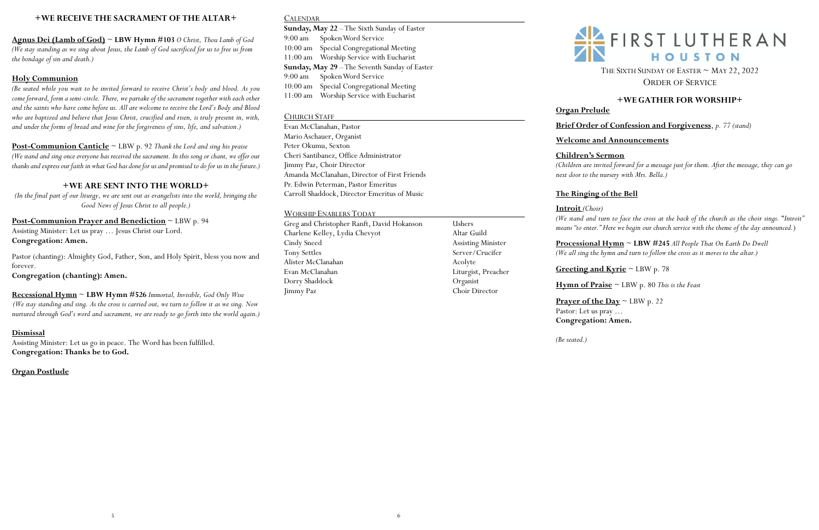### **+WE RECEIVE THE SACRAMENT OF THE ALTAR+**

**Agnus Dei (Lamb of God)** ~ **LBW Hymn #103** *O Christ, Thou Lamb of God (We stay standing as we sing about Jesus, the Lamb of God sacrificed for us to free us from the bondage of sin and death.)* 

### **Holy Communion**

*(Be seated while you wait to be invited forward to receive Christ's body and blood. As you come forward, form a semi-circle. There, we partake of the sacrament together with each other and the saints who have come before us. All are welcome to receive the Lord's Body and Blood who are baptized and believe that Jesus Christ, crucified and risen, is truly present in, with, and under the forms of bread and wine for the forgiveness of sins, life, and salvation.)*

**Post-Communion Canticle** ~ LBW p. 92 *Thank the Lord and sing his praise (We stand and sing once everyone has received the sacrament. In this song or chant, we offer our thanks and express our faith in what God has done for usand promised to do for us in the future.)*

### **+WE ARE SENT INTO THE WORLD+**

*(In the final part of our liturgy, we are sent out as evangelists into the world, bringing the Good News of Jesus Christ to all people.)*

# **Post-Communion Prayer and Benediction** ~ LBW p. 94 Assisting Minister: Let us pray … Jesus Christ our Lord.

**Congregation: Amen.**

Pastor (chanting): Almighty God, Father, Son, and Holy Spirit, bless you now and forever.

THE SIXTH SUNDAY OF EASTER  $\sim$  MAY 22, 2022 ORDER OF SERVICE

**Congregation (chanting): Amen.** 

**Recessional Hymn** ~ **LBW Hymn #526** *Immortal, Invisible, God Only Wise (We stay standing and sing. As the cross is carried out, we turn to follow it as we sing. Now nurtured through God's word and sacrament, we are ready to go forth into the world again.)* 

### **Dismissal**

Assisting Minister: Let us go in peace. The Word has been fulfilled. **Congregation: Thanks be to God.**

**Prayer of the Day**  $\sim$  LBW p. 22 Pastor: Let us pray … **Congregation: Amen.**

**Organ Postlude**

## CALENDAR

**Sunday, May 22** –The Sixth Sunday of Easter 9:00 am Spoken Word Service 10:00 am Special Congregational Meeting 11:00 am Worship Service with Eucharist **Sunday, May 29** –The Seventh Sunday of Easter 9:00 am Spoken Word Service 10:00 am Special Congregational Meeting 11:00 am Worship Service with Eucharist

### CHURCH STAFF

Evan McClanahan, Pastor Mario Aschauer, Organist Peter Okumu, Sexton Cheri Santibanez, Office Administrator Jimmy Paz, Choir Director Amanda McClanahan, Director of First Friends Pr. Edwin Peterman, Pastor Emeritus Carroll Shaddock, Director Emeritus of Music

### WORSHIP ENABLERS TODAY

Greg and Christopher Ranft, David Hokanson Ushers Charlene Kelley, Lydia Chevyot Altar Guild Cindy Sneed Assisting Minister Tony Settles Server/Crucifer Alister McClanahan Acolyte Evan McClanahan Liturgist, Preacher Dorry Shaddock Organist Jimmy Paz Choir Director



# **+WE GATHER FOR WORSHIP+**

# **Organ Prelude**

**Brief Order of Confession and Forgiveness**, *p. 77 (stand)*

**Welcome and Announcements**

**Children's Sermon**

*(Children are invited forward for a message just for them. After the message, they can go next door to the nursery with Mrs. Bella.)* 

# **The Ringing of the Bell**

**Introit** *(Choir)* 

*(We stand and turn to face the cross at the back of the church as the choir sings.* "*Introit" means "to enter." Here we begin our church service with the theme of the day announced.*)

**Processional Hymn** ~ **LBW #245** *All People That On Earth Do Dwell (We all sing the hymn and turn to follow the cross as it moves to the altar.)*

**Greeting and Kyrie** ~ LBW p. 78

**Hymn of Praise** ~ LBW p. 80 *This is the Feast*

*(Be seated.)*

# $\frac{2!}{2!}$  FIRST LUTHERAN HOUSTON